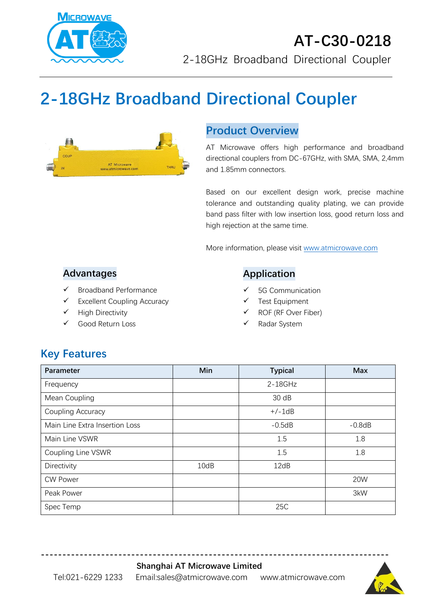

# **2-18GHz Broadband Directional Coupler**



#### **Product Overview**

AT Microwave offers high performance and broadband directional couplers from DC-67GHz, with SMA, SMA, 2,4mm and 1.85mm connectors.

Based on our excellent design work, precise machine tolerance and outstanding quality plating, we can provide band pass filter with low insertion loss, good return loss and high rejection at the same time.

More information, please visit [www.atmicrowave.com](http://www.atmicrowave.com/)

#### **Advantages**

- ✓ Broadband Performance
- ✓ Excellent Coupling Accuracy
- ✓ High Directivity
- Good Return Loss

#### **Application**

- 5G Communication
- Test Equipment
- ROF (RF Over Fiber)
- Radar System

# **Key Features**

| Parameter                      | Min  | <b>Typical</b> | <b>Max</b> |
|--------------------------------|------|----------------|------------|
| Frequency                      |      | $2 - 18$ GHz   |            |
| Mean Coupling                  |      | 30 dB          |            |
| Coupling Accuracy              |      | $+/-1dB$       |            |
| Main Line Extra Insertion Loss |      | $-0.5dB$       | $-0.8dB$   |
| Main Line VSWR                 |      | 1.5            | 1.8        |
| Coupling Line VSWR             |      | 1.5            | 1.8        |
| Directivity                    | 10dB | 12dB           |            |
| <b>CW Power</b>                |      |                | 20W        |
| Peak Power                     |      |                | 3kW        |
| Spec Temp                      |      | 25C            |            |

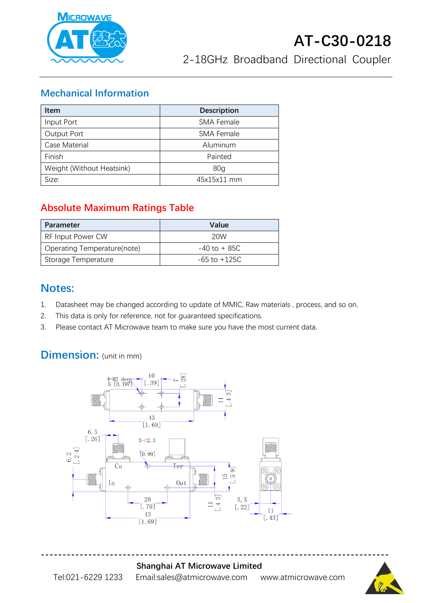

#### **Mechanical Information**

| <b>Item</b>               | <b>Description</b> |  |
|---------------------------|--------------------|--|
| Input Port                | <b>SMA Female</b>  |  |
| Output Port               | <b>SMA Female</b>  |  |
| Case Material             | Aluminum           |  |
| Finish                    | Painted            |  |
| Weight (Without Heatsink) | 80 <sub>g</sub>    |  |
| Size:                     | 45x15x11 mm        |  |

## **Absolute Maximum Ratings Table**

| Parameter                   | Value            |
|-----------------------------|------------------|
| RF Input Power CW           | 20W              |
| Operating Temperature(note) | $-40$ to $+85C$  |
| Storage Temperature         | $-65$ to $+125C$ |

### **Notes:**

- 1. Datasheet may be changed according to update of MMIC, Raw materials , process, and so on.
- 2. This data is only for reference, not for guaranteed specifications.
- 3. Please contact AT Microwave team to make sure you have the most current data.

# **Dimension:** (unit in mm)